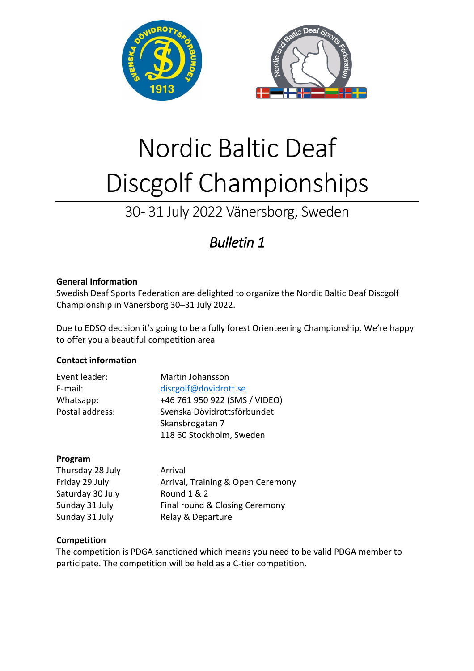

# Nordic Baltic Deaf Discgolf Championships

# 30 - 31 July 2022 Vänersborg, Sweden

# *Bulletin 1*

## **General Information**

Swedish Deaf Sports Federation are delighted to organize the Nordic Baltic Deaf Discgolf Championship in Vänersborg 30–31 July 2022.

Due to EDSO decision it's going to be a fully forest Orienteering Championship. We're happy to offer you a beautiful competition area

# **Contact information**

| Event leader:   | Martin Johansson              |
|-----------------|-------------------------------|
| E-mail:         | discgolf@dovidrott.se         |
| Whatsapp:       | +46 761 950 922 (SMS / VIDEO) |
| Postal address: | Svenska Dövidrottsförbundet   |
|                 | Skansbrogatan 7               |
|                 | 118 60 Stockholm, Sweden      |

### **Program**

| Thursday 28 July | Arrival                           |
|------------------|-----------------------------------|
| Friday 29 July   | Arrival, Training & Open Ceremony |
| Saturday 30 July | Round 1 & 2                       |
| Sunday 31 July   | Final round & Closing Ceremony    |
| Sunday 31 July   | Relay & Departure                 |

# **Competition**

The competition is PDGA sanctioned which means you need to be valid PDGA member to participate. The competition will be held as a C-tier competition.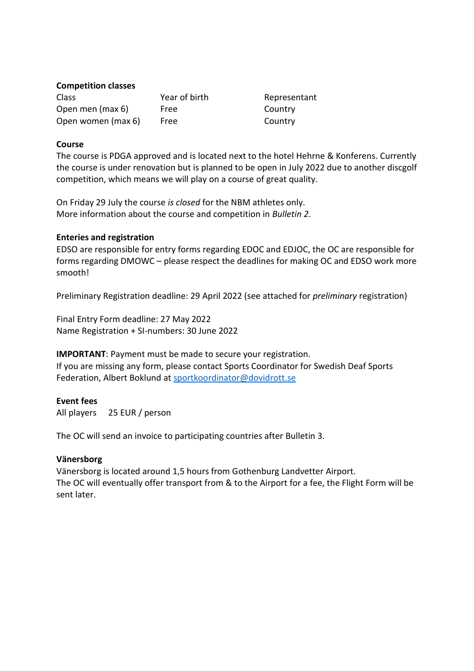#### **Competition classes**

| <b>Class</b>       | Year of birth | Representant |
|--------------------|---------------|--------------|
| Open men (max 6)   | Free          | Country      |
| Open women (max 6) | Free          | Country      |

#### **Course**

The course is PDGA approved and is located next to the hotel Hehrne & Konferens. Currently the course is under renovation but is planned to be open in July 2022 due to another discgolf competition, which means we will play on a course of great quality.

On Friday 29 July the course *is closed* for the NBM athletes only. More information about the course and competition in *Bulletin 2*.

#### **Enteries and registration**

EDSO are responsible for entry forms regarding EDOC and EDJOC, the OC are responsible for forms regarding DMOWC – please respect the deadlines for making OC and EDSO work more smooth!

Preliminary Registration deadline: 29 April 2022 (see attached for *preliminary* registration)

Final Entry Form deadline: 27 May 2022 Name Registration + SI-numbers: 30 June 2022

**IMPORTANT**: Payment must be made to secure your registration.

If you are missing any form, please contact Sports Coordinator for Swedish Deaf Sports Federation, Albert Boklund a[t sportkoordinator@dovidrott.se](mailto:sportkoordinator@dovidrott.se)

#### **Event fees**

All players 25 EUR / person

The OC will send an invoice to participating countries after Bulletin 3.

#### **Vänersborg**

Vänersborg is located around 1,5 hours from Gothenburg Landvetter Airport. The OC will eventually offer transport from & to the Airport for a fee, the Flight Form will be sent later.